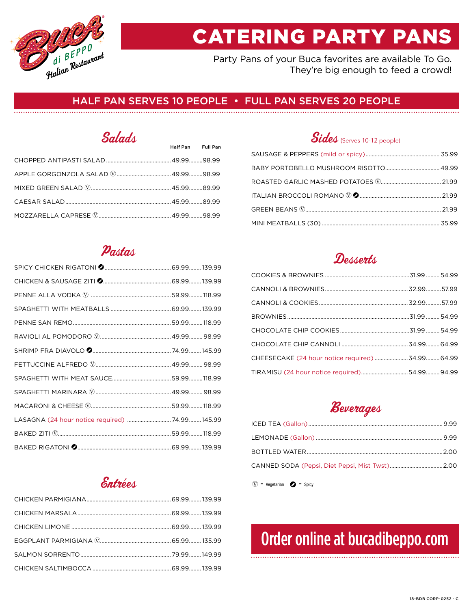

# CATERING PARTY PANS

Party Pans of your Buca favorites are available To Go. They're big enough to feed a crowd!

### HALF PAN SERVES 10 PEOPLE • FULL PAN SERVES 20 PEOPLE

# Salads Half Pan Full Pan

### Pastas

| LASAGNA (24 hour notice required)  74.99 145.99 |  |
|-------------------------------------------------|--|
|                                                 |  |
|                                                 |  |

### Entrées

## Sides (Serves 10-12 people)

# Desserts

## Beverages

 $\circled{V}$  - Vegetarian  $\circled{P}$  - Spicy

# Order online at bucadibeppo.com

#### 18-BDB CORP-0252 - C